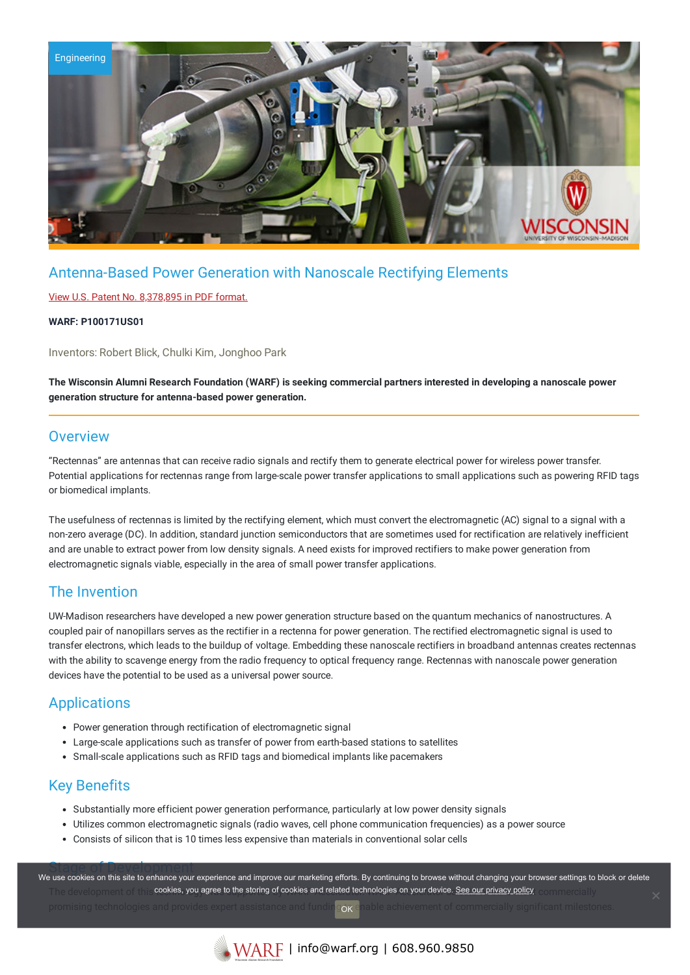

# Antenna-Based Power Generation with Nanoscale Rectifying Elements

### View U.S. Patent No. [8,378,895](https://www.warf.org/wp-content/uploads/technologies/ipstatus/P100171US01.PDF) in PDF format.

#### **WARF: P100171US01**

Inventors: Robert Blick, Chulki Kim, Jonghoo Park

The Wisconsin Alumni Research Foundation (WARF) is seeking commercial partners interested in developing a nanoscale power **generation structure for antenna-based power generation.**

### **Overview**

"Rectennas" are antennas that can receive radio signals and rectify them to generate electrical power for wireless power transfer. Potential applications for rectennas range from large-scale power transfer applications to small applications such as powering RFID tags or biomedical implants.

The usefulness of rectennas is limited by the rectifying element, which must convert the electromagnetic (AC) signal to a signal with a non-zero average (DC). In addition, standard junction semiconductors that are sometimes used for rectification are relatively inefficient and are unable to extract power from low density signals. A need exists for improved rectifiers to make power generation from electromagnetic signals viable, especially in the area of small power transfer applications.

# The Invention

UW-Madison researchers have developed a new power generation structure based on the quantum mechanics of nanostructures. A coupled pair of nanopillars serves as the rectifier in a rectenna for power generation. The rectified electromagnetic signal is used to transfer electrons, which leads to the buildup of voltage. Embedding these nanoscale rectifiers in broadband antennas creates rectennas with the ability to scavenge energy from the radio frequency to optical frequency range. Rectennas with nanoscale power generation devices have the potential to be used as a universal power source.

## Applications

- Power generation through rectification of electromagnetic signal
- Large-scale applications such as transfer of power from earth-based stations to satellites
- Small-scale applications such as RFID tags and biomedical implants like pacemakers

## Key Benefits

- Substantially more efficient power generation performance, particularly at low power density signals
- Utilizes common electromagnetic signals (radio waves, cell phone communication frequencies) as a power source
- Consists of silicon that is 10 times less expensive than materials in conventional solar cells

Stage of Development We use cookies on this site to enhance your experience and improve our marketing efforts. By continuing to browse without changing your browser settings to block or delete The development of the **cookies, you agree to the storing of cookies and related technologies on your device. <u>See our privacy policy</u> comments in the** promising technologies and provides expert assistance and funding or enable achievement of commercially significant milestones **OK**